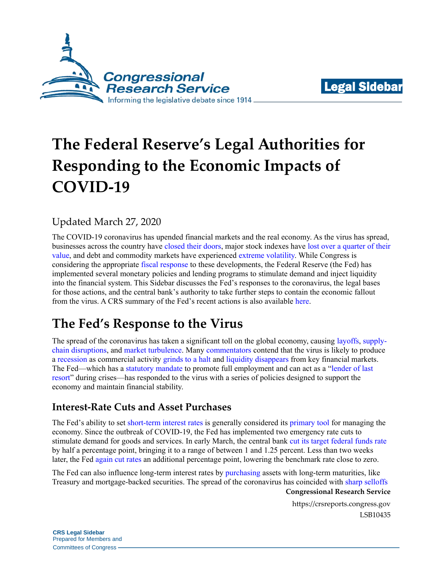



# **The Federal Reserve's Legal Authorities for Responding to the Economic Impacts of COVID-19**

## Updated March 27, 2020

The COVID-19 coronavirus has upended financial markets and the real economy. As the virus has spread, businesses across the country have [closed their doors,](https://www.npr.org/2020/03/16/816398498/america-closed-thousands-of-stores-resorts-theaters-shut-down) major stock indexes have [lost over a quarter of their](https://markets.businessinsider.com/indices)  [value,](https://markets.businessinsider.com/indices) and debt and commodity markets have experienced [extreme volatility.](https://www.wsj.com/articles/markets-enter-new-phasewhere-cash-is-all-that-matters-11584546863) While Congress is considering the appropriate [fiscal response](https://www.wsj.com/articles/trump-administration-senate-democrats-said-to-reach-stimulus-bill-deal-11585113371) to these developments, the Federal Reserve (the Fed) has implemented several monetary policies and lending programs to stimulate demand and inject liquidity into the financial system. This Sidebar discusses the Fed's responses to the coronavirus, the legal bases for those actions, and the central bank's authority to take further steps to contain the economic fallout from the virus. A CRS summary of the Fed's recent actions is also available [here.](https://crsreports.congress.gov/product/pdf/IN/IN11259)

# **The Fed's Response to the Virus**

The spread of the coronavirus has taken a significant toll on the global economy, causing [layoffs,](https://www.nytimes.com/interactive/2020/03/19/upshot/coronavirus-jobless-claims-states.html) [supply](https://www.theatlantic.com/ideas/archive/2020/03/supply-chains-and-coronavirus/608329/)[chain disruptions,](https://www.theatlantic.com/ideas/archive/2020/03/supply-chains-and-coronavirus/608329/) and [market turbulence.](https://nymag.com/intelligencer/2020/03/coronavirus-is-imploding-global-financial-markets.html) Many [commentators](https://www.nytimes.com/2020/03/12/opinion/coronavirus-economy.html) contend that the virus is likely to produce a [recession](https://www.theatlantic.com/ideas/archive/2020/03/viral-recession/607657/) as commercial activity [grinds to a halt](https://www.nytimes.com/2020/03/15/business/economy/coronavirus-economy-impact.html) and [liquidity disappears](https://www.wsj.com/articles/wall-street-plunge-stresses-banks-treasury-markets-11583971700?mod=article_inline) from key financial markets. The Fed—which has a [statutory mandate](https://www.law.cornell.edu/uscode/text/12/225a) to promote full employment and can act as a ["lender of last](https://www.federalreserve.gov/aboutthefed/files/pf_4.pdf#page=11)  [resort"](https://www.federalreserve.gov/aboutthefed/files/pf_4.pdf#page=11) during crises—has responded to the virus with a series of policies designed to support the economy and maintain financial stability.

### **Interest-Rate Cuts and Asset Purchases**

The Fed's ability to set [short-term interest rates](https://www.federalreserve.gov/aboutthefed/files/pf_3.pdf#page=4) is generally considered its [primary tool](https://www.federalreserve.gov/newsevents/speech/mishkin20080215a.htm) for managing the economy. Since the outbreak of COVID-19, the Fed has implemented two emergency rate cuts to stimulate demand for goods and services. In early March, the central bank [cut its target federal funds rate](https://www.wsj.com/articles/federal-reserve-cuts-interest-rates-by-half-percentage-point-11583247606) by half a percentage point, bringing it to a range of between 1 and 1.25 percent. Less than two weeks later, the Fed [again cut rates](https://www.wsj.com/articles/fed-faces-crucial-decisions-to-alleviate-virus-shock-11584303662) an additional percentage point, lowering the benchmark rate close to zero.

The Fed can also influence long-term interest rates by [purchasing](https://www.federalreserve.gov/aboutthefed/files/pf_3.pdf#page=27) assets with long-term maturities, like Treasury and mortgage-backed securities. The spread of the coronavirus has coincided with [sharp selloffs](https://www.wsj.com/articles/markets-enter-new-phasewhere-cash-is-all-that-matters-11584546863)

**Congressional Research Service**

https://crsreports.congress.gov LSB10435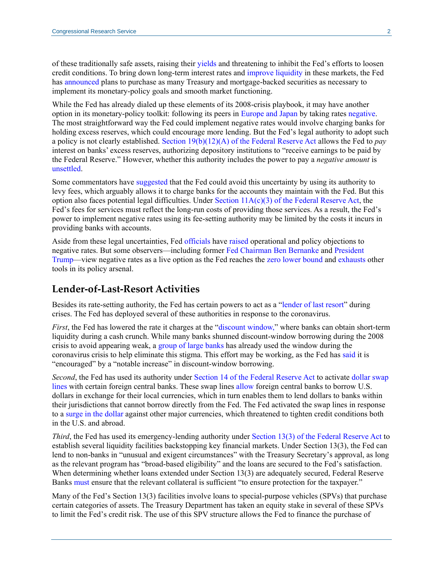of these traditionally safe assets, raising their [yields](https://www.investopedia.com/terms/y/yield.asp) and threatening to inhibit the Fed's efforts to loosen credit conditions. To bring down long-term interest rates and [improve liquidity](https://finance.yahoo.com/news/treasury-liquidity-dries-fed-makes-173836389.html) in these markets, the Fed has [announced](https://www.federalreserve.gov/newsevents/pressreleases/monetary20200323b.htm) plans to purchase as many Treasury and mortgage-backed securities as necessary to implement its monetary-policy goals and smooth market functioning.

While the Fed has already dialed up these elements of its 2008-crisis playbook, it may have another option in its monetary-policy toolkit: following its peers in [Europe and Japan](https://www.bloomberg.com/quicktake/negative-interest-rates) by taking rates [negative.](https://www.nytimes.com/2019/09/11/business/economy/trump-fed-negative-interest-rates.html) The most straightforward way the Fed could implement negative rates would involve charging banks for holding excess reserves, which could encourage more lending. But the Fed's legal authority to adopt such a policy is not clearly established. Section 19(b)(12)(A) [of the Federal Reserve Act](https://www.federalreserve.gov/aboutthefed/section19.htm) allows the Fed to *pay* interest on banks' excess reserves, authorizing depository institutions to "receive earnings to be paid by the Federal Reserve." However, whether this authority includes the power to pay a *negative amount* is [unsettled.](https://www.brookings.edu/blog/ben-bernanke/2016/03/18/what-tools-does-the-fed-have-left-part-1-negative-interest-rates/)

Some commentators have [suggested](https://blogs.wsj.com/economics/2016/02/10/four-legal-questions-the-fed-would-face-if-it-decided-to-go-negative/) that the Fed could avoid this uncertainty by using its authority to levy fees, which arguably allows it to charge banks for the accounts they maintain with the Fed. But this option also faces potential legal difficulties. Under Section  $11A(c)(3)$  [of the Federal Reserve Act,](https://www.federalreserve.gov/paymentsystems/pfs_pricingpol.htm) the Fed's fees for services must reflect the long-run costs of providing those services. As a result, the Fed's power to implement negative rates using its fee-setting authority may be limited by the costs it incurs in providing banks with accounts.

Aside from these legal uncertainties, Fed [officials](https://www.cnbc.com/2020/03/15/powell-says-the-fed-doesnt-see-negative-rates-as-appropriate-policy-for-the-united-states.html) have [raised](https://www.cnbc.com/2020/03/17/feds-neel-kashkari-says-we-are-using-our-tools-aggressively.html) operational and policy objections to negative rates. But some observers—including former [Fed Chairman Ben Bernanke](https://www.cnbc.com/2020/01/06/ben-bernanke-the-fed-shouldnt-rule-out-using-negative-interest-rates.html) and [President](https://www.nytimes.com/2019/09/11/business/economy/trump-fed-negative-interest-rates.html)  [Trump—](https://www.nytimes.com/2019/09/11/business/economy/trump-fed-negative-interest-rates.html)view negative rates as a live option as the Fed reaches the [zero lower bound](https://www.brookings.edu/blog/ben-bernanke/2017/04/12/how-big-a-problem-is-the-zero-lower-bound-on-interest-rates/) and [exhausts](https://www.wsj.com/articles/federal-reserve-announces-major-expansion-of-market-supports-11584964844) other tools in its policy arsenal.

#### **Lender-of-Last-Resort Activities**

Besides its rate-setting authority, the Fed has certain powers to act as a ["lender of last resort"](https://www.federalreserve.gov/aboutthefed/files/pf_4.pdf#page=11) during crises. The Fed has deployed several of these authorities in response to the coronavirus.

*First*, the Fed has lowered the rate it charges at the ["discount window,"](https://www.federalreserve.gov/newsevents/pressreleases/monetary20200315b.htm) where banks can obtain short-term liquidity during a cash crunch. While many banks shunned discount-window borrowing during the 2008 crisis to avoid appearing weak, a [group of large banks](https://www.nytimes.com/2020/03/16/business/fed-discount-window.html) has already used the window during the coronavirus crisis to help eliminate this stigma. This effort may be working, as the Fed has [said](https://www.federalreserve.gov/newsevents/pressreleases/monetary20200319c.htm) it is "encouraged" by a "notable increase" in discount-window borrowing.

*Second*, the Fed has used its authority under [Section 14 of the Federal Reserve Act](https://www.federalreserve.gov/aboutthefed/section14.htm) to activate dollar swap [lines](https://www.federalreserve.gov/newsevents/pressreleases/monetary20200315c.htm) with certain foreign central banks. These swap lines [allow](https://www.economist.com/finance-and-economics/2020/03/21/the-dollar-is-in-high-demand-prone-to-dangerous-appreciation) foreign central banks to borrow U.S. dollars in exchange for their local currencies, which in turn enables them to lend dollars to banks within their jurisdictions that cannot borrow directly from the Fed. The Fed activated the swap lines in response to a [surge in the](https://www.marketwatch.com/story/why-a-disorderly-us-dollar-surge-is-being-blamed-for-adding-to-market-volatility-and-the-global-stock-selloff-2020-03-18) dollar against other major currencies, which threatened to tighten credit conditions both in the U.S. and abroad.

*Third*, the Fed has used its emergency-lending authority under [Section 13\(3\) of the Federal Reserve Act](https://www.federalreserve.gov/aboutthefed/section13.htm) to establish several liquidity facilities backstopping key financial markets. Under Section 13(3), the Fed can lend to non-banks in "unusual and exigent circumstances" with the Treasury Secretary's approval, as long as the relevant program has "broad-based eligibility" and the loans are secured to the Fed's satisfaction. When determining whether loans extended under Section 13(3) are adequately secured, Federal Reserve Banks [must](https://www.law.cornell.edu/cfr/text/12/201.4) ensure that the relevant collateral is sufficient "to ensure protection for the taxpayer."

Many of the Fed's Section 13(3) facilities involve loans to special-purpose vehicles (SPVs) that purchase certain categories of assets. The Treasury Department has taken an equity stake in several of these SPVs to limit the Fed's credit risk. The use of this SPV structure allows the Fed to finance the purchase of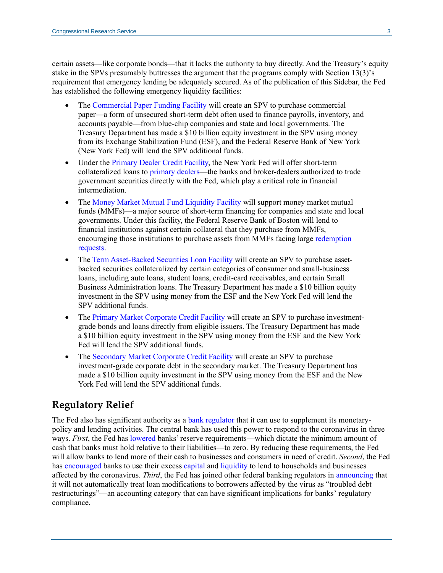certain assets—like corporate bonds—that it lacks the authority to buy directly. And the Treasury's equity stake in the SPVs presumably buttresses the argument that the programs comply with Section 13(3)'s requirement that emergency lending be adequately secured. As of the publication of this Sidebar, the Fed has established the following emergency liquidity facilities:

- The [Commercial Paper Funding Facility](https://www.federalreserve.gov/newsevents/pressreleases/files/monetary20200323b5.pdf) will create an SPV to purchase commercial paper—a form of unsecured short-term debt often used to finance payrolls, inventory, and accounts payable—from blue-chip companies and state and local governments. The Treasury Department has made a \$10 billion equity investment in the SPV using money from its Exchange Stabilization Fund (ESF), and the Federal Reserve Bank of New York (New York Fed) will lend the SPV additional funds.
- Under the [Primary Dealer Credit Facility,](https://www.federalreserve.gov/newsevents/pressreleases/files/monetary20200317b1.pdf) the New York Fed will offer short-term collateralized loans to [primary dealers—](https://www.newyorkfed.org/markets/primarydealers)the banks and broker-dealers authorized to trade government securities directly with the Fed, which play a critical role in financial intermediation.
- The [Money Market Mutual Fund Liquidity Facility](https://www.federalreserve.gov/newsevents/pressreleases/files/monetary20200323b4.pdf) will support money market mutual funds (MMFs)—a major source of short-term financing for companies and state and local governments. Under this facility, the Federal Reserve Bank of Boston will lend to financial institutions against certain collateral that they purchase from MMFs, encouraging those institutions to purchase assets from MMFs facing large [redemption](https://www.wsj.com/articles/why-the-fed-had-to-backstop-money-market-funds-again-11584788401)  [requests.](https://www.wsj.com/articles/why-the-fed-had-to-backstop-money-market-funds-again-11584788401)
- Th[e Term Asset-Backed Securities Loan Facility](https://www.federalreserve.gov/newsevents/pressreleases/files/monetary20200323b3.pdf) will create an SPV to purchase assetbacked securities collateralized by certain categories of consumer and small-business loans, including auto loans, student loans, credit-card receivables, and certain Small Business Administration loans. The Treasury Department has made a \$10 billion equity investment in the SPV using money from the ESF and the New York Fed will lend the SPV additional funds.
- The [Primary Market Corporate Credit Facility](https://www.federalreserve.gov/newsevents/pressreleases/files/monetary20200323b1.pdf) will create an SPV to purchase investmentgrade bonds and loans directly from eligible issuers. The Treasury Department has made a \$10 billion equity investment in the SPV using money from the ESF and the New York Fed will lend the SPV additional funds.
- The [Secondary Market Corporate Credit Facility](https://www.federalreserve.gov/newsevents/pressreleases/files/monetary20200323b2.pdf) will create an SPV to purchase investment-grade corporate debt in the secondary market. The Treasury Department has made a \$10 billion equity investment in the SPV using money from the ESF and the New York Fed will lend the SPV additional funds.

### **Regulatory Relief**

The Fed also has significant authority as a [bank regulator](https://www.federalreserve.gov/aboutthefed/files/pf_5.pdf) that it can use to supplement its monetarypolicy and lending activities. The central bank has used this power to respond to the coronavirus in three ways. *First*, the Fed has [lowered](https://www.federalreserve.gov/monetarypolicy/reservereq.htm) banks' reserve requirements—which dictate the minimum amount of cash that banks must hold relative to their liabilities—to zero. By reducing these requirements, the Fed will allow banks to lend more of their cash to businesses and consumers in need of credit. *Second*, the Fed has [encouraged](https://www.federalreserve.gov/newsevents/pressreleases/monetary20200315b.htm) banks to use their excess [capital](https://www.investopedia.com/terms/b/bank-capital.asp) and [liquidity](https://www.federalreserve.gov/faqs/cat_21427.htm) to lend to households and businesses affected by the coronavirus. *Third*, the Fed has joined other federal banking regulators in [announcing](https://www.federalreserve.gov/newsevents/pressreleases/files/bcreg20200322a1.pdf) that it will not automatically treat loan modifications to borrowers affected by the virus as "troubled debt restructurings"—an accounting category that can have significant implications for banks' regulatory compliance.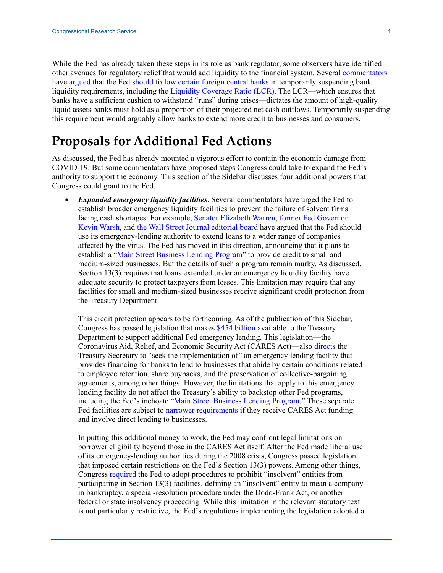While the Fed has already taken these steps in its role as bank regulator, some observers have identified other avenues for regulatory relief that would add liquidity to the financial system. Several [commentators](https://finance.yahoo.com/news/fed-walks-tightrope-with-bank-capital-and-liquidity-standards-amid-coronavirus-response-215944840.html) have [argued](https://www.wsj.com/articles/do-more-to-avert-a-liquidity-crisis-11584822068?mod=hp_opin_pos_1) that the Fed [should](https://www.uschamber.com/letters-congress/letter-us-government-leaders-coronavirus-response) follow [certain foreign central banks](https://finance.yahoo.com/news/swedish-banks-allowed-temporary-breach-133320439.html) in temporarily suspending bank liquidity requirements, including the [Liquidity Coverage Ratio \(LCR\).](https://www.goldmansachs.com/investor-relations/financials/current/other-information/1q-2019-liquidity-coverage-ratio.pdf) The LCR—which ensures that banks have a sufficient cushion to withstand "runs" during crises—dictates the amount of high-quality liquid assets banks must hold as a proportion of their projected net cash outflows. Temporarily suspending this requirement would arguably allow banks to extend more credit to businesses and consumers.

# **Proposals for Additional Fed Actions**

As discussed, the Fed has already mounted a vigorous effort to contain the economic damage from COVID-19. But some commentators have proposed steps Congress could take to expand the Fed's authority to support the economy. This section of the Sidebar discusses four additional powers that Congress could grant to the Fed.

 *Expanded emergency liquidity facilities*. Several commentators have urged the Fed to establish broader emergency liquidity facilities to prevent the failure of solvent firms facing cash shortages. For example, [Senator Elizabeth Warren,](https://elizabethwarren.com/plans/protecting-from-coronavirus) [former Fed Governor](https://www.wsj.com/articles/let-the-fed-administer-an-antiviral-shot-11584314083)  [Kevin Warsh,](https://www.wsj.com/articles/let-the-fed-administer-an-antiviral-shot-11584314083) and [the Wall Street Journal editorial board](https://www.wsj.com/articles/the-economic-rout-accelerates-11584573285) have argued that the Fed should use its emergency-lending authority to extend loans to a wider range of companies affected by the virus. The Fed has moved in this direction, announcing that it plans to establish a ["Main Street Business Lending Program"](https://www.federalreserve.gov/newsevents/pressreleases/monetary20200323b.htm) to provide credit to small and medium-sized businesses. But the details of such a program remain murky. As discussed, Section 13(3) requires that loans extended under an emergency liquidity facility have adequate security to protect taxpayers from losses. This limitation may require that any facilities for small and medium-sized businesses receive significant credit protection from the Treasury Department.

This credit protection appears to be forthcoming. As of the publication of this Sidebar, Congress has passed legislation that makes [\\$454 billion](https://assets.documentcloud.org/documents/20059055/final-final-cares-act.pdf#page=513) available to the Treasury Department to support additional Fed emergency lending. This legislation—the Coronavirus Aid, Relief, and Economic Security Act (CARES Act)—also [directs](https://assets.documentcloud.org/documents/20059055/final-final-cares-act.pdf#page=520) the Treasury Secretary to "seek the implementation of" an emergency lending facility that provides financing for banks to lend to businesses that abide by certain conditions related to employee retention, share buybacks, and the preservation of collective-bargaining agreements, among other things. However, the limitations that apply to this emergency lending facility do not affect the Treasury's ability to backstop other Fed programs, including the Fed's inchoate ["Main Street Business Lending Program.](https://assets.documentcloud.org/documents/20059055/final-final-cares-act.pdf#page=524)" These separate Fed facilities are subject to [narrower requirements](https://assets.documentcloud.org/documents/20059055/final-final-cares-act.pdf#page=518) if they receive CARES Act funding and involve direct lending to businesses.

In putting this additional money to work, the Fed may confront legal limitations on borrower eligibility beyond those in the CARES Act itself. After the Fed made liberal use of its emergency-lending authorities during the 2008 crisis, Congress passed legislation that imposed certain restrictions on the Fed's Section 13(3) powers. Among other things, Congress [required](https://www.federalreserve.gov/aboutthefed/section13.htm) the Fed to adopt procedures to prohibit "insolvent" entities from participating in Section 13(3) facilities, defining an "insolvent" entity to mean a company in bankruptcy, a special-resolution procedure under the Dodd-Frank Act, or another federal or state insolvency proceeding. While this limitation in the relevant statutory text is not particularly restrictive, the Fed's regulations implementing the legislation adopted a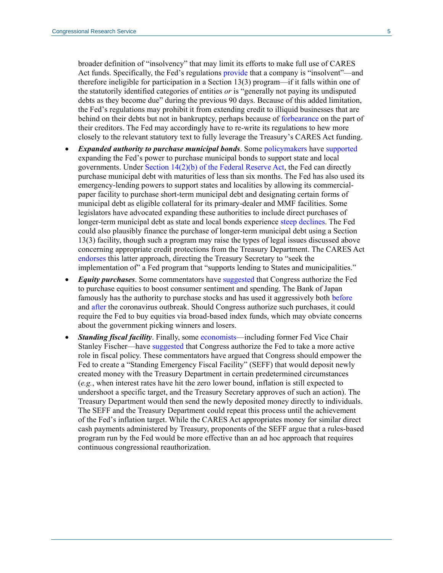broader definition of "insolvency" that may limit its efforts to make full use of CARES Act funds. Specifically, the Fed's regulations [provide](https://www.law.cornell.edu/cfr/text/12/201.4) that a company is "insolvent"—and therefore ineligible for participation in a Section 13(3) program—if it falls within one of the statutorily identified categories of entities *or* is "generally not paying its undisputed debts as they become due" during the previous 90 days. Because of this added limitation, the Fed's regulations may prohibit it from extending credit to illiquid businesses that are behind on their debts but not in bankruptcy, perhaps because of [forbearance](https://www.forbes.com/sites/advisor/2020/03/20/list-of-coronavirus-covid-19-small-business-relief-programs/#723bd45ee89d) on the part of their creditors. The Fed may accordingly have to re-write its regulations to hew more closely to the relevant statutory text to fully leverage the Treasury's CARES Act funding.

- *Expanded authority to purchase municipal bonds*. Some [policymakers](https://www.bondbuyer.com/news/congress-considers-requiring-fed-to-buy-muni-bonds-for-coronavirus-fight) have [supported](https://www.politico.com/states/california/story/2020/03/22/state-treasurers-fed-must-step-up-as-municipal-bond-market-craters-1268660) expanding the Fed's power to purchase municipal bonds to support state and local governments. Under Section 14(2)(b) [of the Federal Reserve Act,](https://www.federalreserve.gov/aboutthefed/section14.htm) the Fed can directly purchase municipal debt with maturities of less than six months. The Fed has also used its emergency-lending powers to support states and localities by allowing its commercialpaper facility to purchase short-term municipal debt and designating certain forms of municipal debt as eligible collateral for its primary-dealer and MMF facilities. Some legislators have advocated expanding these authorities to include direct purchases of longer-term municipal debt as state and local bonds experience [steep declines.](https://www.reuters.com/article/usa-investment-mutualfunds-municipals/investor-exodus-roils-u-s-municipal-bond-market-idUSL1N2BC2FT) The Fed could also plausibly finance the purchase of longer-term municipal debt using a Section 13(3) facility, though such a program may raise the types of legal issues discussed above concerning appropriate credit protections from the Treasury Department. The CARES Act [endorses](https://assets.documentcloud.org/documents/20059055/final-final-cares-act.pdf#page=524) this latter approach, directing the Treasury Secretary to "seek the implementation of" a Fed program that "supports lending to States and municipalities."
- *Equity purchases*. Some commentators have [suggested](https://www.realclearpolitics.com/articles/2020/03/14/why_not_equity_142661.html) that Congress authorize the Fed to purchase equities to boost consumer sentiment and spending. The Bank of Japan famously has the authority to purchase stocks and has used it aggressively both [before](https://asia.nikkei.com/Business/Markets/Bank-of-Japan-to-be-top-shareholder-of-Japan-stocks) and [after](https://www.wsj.com/articles/bank-of-japan-rolls-out-measures-to-blunt-coronavirus-impact-11584337241) the coronavirus outbreak. Should Congress authorize such purchases, it could require the Fed to buy equities via broad-based index funds, which may obviate concerns about the government picking winners and losers.
- *Standing fiscal facility*. Finally, some [economists—](https://www.mercatus.org/publications/monetary-policy/covid-19-pandemic-direct-cash-transfers-and-federal-reserve)including former Fed Vice Chair Stanley Fischer—have [suggested](https://www.blackrock.com/corporate/literature/whitepaper/bii-macro-perspectives-august-2019.pdf#page=11) that Congress authorize the Fed to take a more active role in fiscal policy. These commentators have argued that Congress should empower the Fed to create a "Standing Emergency Fiscal Facility" (SEFF) that would deposit newly created money with the Treasury Department in certain predetermined circumstances (*e.g.*, when interest rates have hit the zero lower bound, inflation is still expected to undershoot a specific target, and the Treasury Secretary approves of such an action). The Treasury Department would then send the newly deposited money directly to individuals. The SEFF and the Treasury Department could repeat this process until the achievement of the Fed's inflation target. While the CARES Act appropriates money for similar direct cash payments administered by Treasury, proponents of the SEFF argue that a rules-based program run by the Fed would be more effective than an ad hoc approach that requires continuous congressional reauthorization.